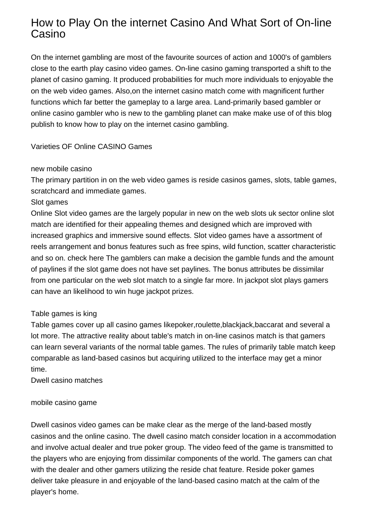# How to Play On the internet Casino And What Sort of On-line Casino

On the internet gambling are most of the favourite sources of action and 1000's of gamblers close to the earth play casino video games. On-line casino gaming transported a shift to the planet of casino gaming. It produced probabilities for much more individuals to enjoyable the on the web video games. Also,on the internet casino match come with magnificent further functions which far better the gameplay to a large area. Land-primarily based gambler or online casino gambler who is new to the gambling planet can make make use of of this blog publish to know how to play on the internet casino gambling.

Varieties OF Online CASINO Games

### new mobile casino

The primary partition in on the web video games is reside casinos games, slots, table games, scratchcard and immediate games.

#### Slot games

Online Slot video games are the largely popular in new on the web slots uk sector online slot match are identified for their appealing themes and designed which are improved with increased graphics and immersive sound effects. Slot video games have a assortment of reels arrangement and bonus features such as free spins, wild function, scatter characteristic and so on. [check here](http://oldtimehockeyarcade.com/how-to-choose-an-online-poker-cardroom/) The gamblers can make a decision the gamble funds and the amount of paylines if the slot game does not have set paylines. The bonus attributes be dissimilar from one particular on the web slot match to a single far more. In jackpot slot plays gamers can have an likelihood to win huge jackpot prizes.

### Table games is king

Table games cover up all casino games likepoker,roulette,blackjack,baccarat and several a lot more. The attractive reality about table's match in on-line casinos match is that gamers can learn several variants of the normal table games. The rules of primarily table match keep comparable as land-based casinos but acquiring utilized to the interface may get a minor time.

Dwell casino matches

### mobile casino game

Dwell casinos video games can be make clear as the merge of the land-based mostly casinos and the online casino. The dwell casino match consider location in a accommodation and involve actual dealer and true poker group. The video feed of the game is transmitted to the players who are enjoying from dissimilar components of the world. The gamers can chat with the dealer and other gamers utilizing the reside chat feature. Reside poker games deliver take pleasure in and enjoyable of the land-based casino match at the calm of the player's home.